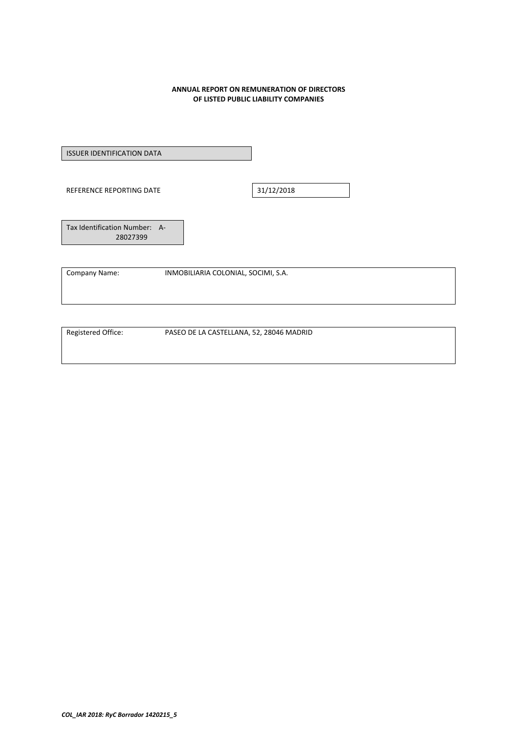#### **ANNUAL REPORT ON REMUNERATION OF DIRECTORS OF LISTED PUBLIC LIABILITY COMPANIES**

ISSUER IDENTIFICATION DATA

REFERENCE REPORTING DATE 31/12/2018

Tax Identification Number: A‐ 28027399

Company Name: INMOBILIARIA COLONIAL, SOCIMI, S.A.

Registered Office: PASEO DE LA CASTELLANA, 52, 28046 MADRID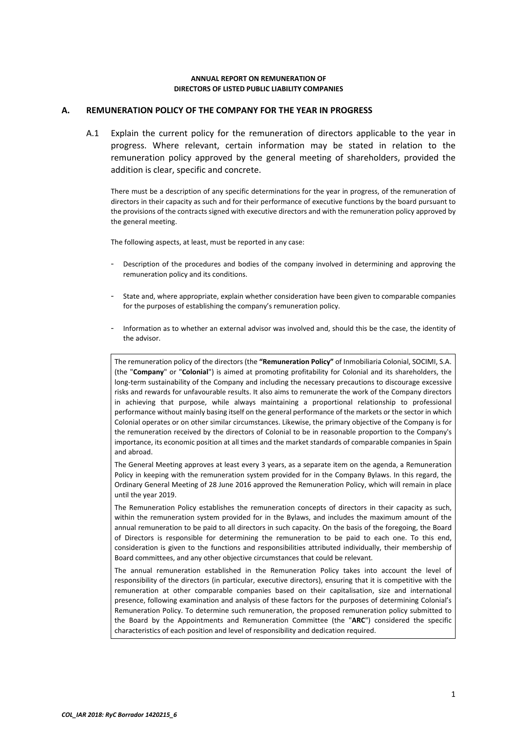#### **ANNUAL REPORT ON REMUNERATION OF DIRECTORS OF LISTED PUBLIC LIABILITY COMPANIES**

## **A. REMUNERATION POLICY OF THE COMPANY FOR THE YEAR IN PROGRESS**

A.1 Explain the current policy for the remuneration of directors applicable to the year in progress. Where relevant, certain information may be stated in relation to the remuneration policy approved by the general meeting of shareholders, provided the addition is clear, specific and concrete.

There must be a description of any specific determinations for the year in progress, of the remuneration of directors in their capacity as such and for their performance of executive functions by the board pursuant to the provisions of the contracts signed with executive directors and with the remuneration policy approved by the general meeting.

The following aspects, at least, must be reported in any case:

- ‐ Description of the procedures and bodies of the company involved in determining and approving the remuneration policy and its conditions.
- State and, where appropriate, explain whether consideration have been given to comparable companies for the purposes of establishing the company's remuneration policy.
- ‐ Information as to whether an external advisor was involved and, should this be the case, the identity of the advisor.

The remuneration policy of the directors (the **"Remuneration Policy"** of Inmobiliaria Colonial, SOCIMI, S.A. (the "**Company**" or "**Colonial**") is aimed at promoting profitability for Colonial and its shareholders, the long-term sustainability of the Company and including the necessary precautions to discourage excessive risks and rewards for unfavourable results. It also aims to remunerate the work of the Company directors in achieving that purpose, while always maintaining a proportional relationship to professional performance without mainly basing itself on the general performance of the markets or the sector in which Colonial operates or on other similar circumstances. Likewise, the primary objective of the Company is for the remuneration received by the directors of Colonial to be in reasonable proportion to the Company's importance, its economic position at all times and the market standards of comparable companies in Spain and abroad.

The General Meeting approves at least every 3 years, as a separate item on the agenda, a Remuneration Policy in keeping with the remuneration system provided for in the Company Bylaws. In this regard, the Ordinary General Meeting of 28 June 2016 approved the Remuneration Policy, which will remain in place until the year 2019.

The Remuneration Policy establishes the remuneration concepts of directors in their capacity as such, within the remuneration system provided for in the Bylaws, and includes the maximum amount of the annual remuneration to be paid to all directors in such capacity. On the basis of the foregoing, the Board of Directors is responsible for determining the remuneration to be paid to each one. To this end, consideration is given to the functions and responsibilities attributed individually, their membership of Board committees, and any other objective circumstances that could be relevant.

The annual remuneration established in the Remuneration Policy takes into account the level of responsibility of the directors (in particular, executive directors), ensuring that it is competitive with the remuneration at other comparable companies based on their capitalisation, size and international presence, following examination and analysis of these factors for the purposes of determining Colonial's Remuneration Policy. To determine such remuneration, the proposed remuneration policy submitted to the Board by the Appointments and Remuneration Committee (the "**ARC**") considered the specific characteristics of each position and level of responsibility and dedication required.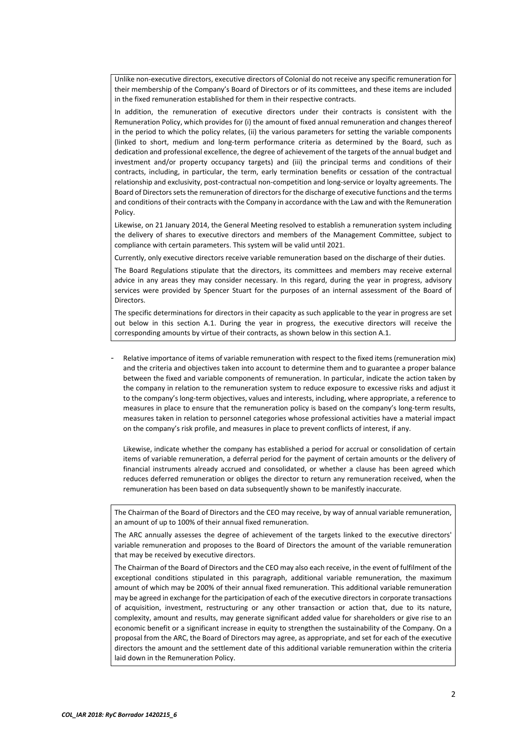Unlike non‐executive directors, executive directors of Colonial do not receive any specific remuneration for their membership of the Company's Board of Directors or of its committees, and these items are included in the fixed remuneration established for them in their respective contracts.

In addition, the remuneration of executive directors under their contracts is consistent with the Remuneration Policy, which provides for (i) the amount of fixed annual remuneration and changes thereof in the period to which the policy relates, (ii) the various parameters for setting the variable components (linked to short, medium and long‐term performance criteria as determined by the Board, such as dedication and professional excellence, the degree of achievement of the targets of the annual budget and investment and/or property occupancy targets) and (iii) the principal terms and conditions of their contracts, including, in particular, the term, early termination benefits or cessation of the contractual relationship and exclusivity, post‐contractual non‐competition and long‐service or loyalty agreements. The Board of Directors sets the remuneration of directors for the discharge of executive functions and the terms and conditions of their contracts with the Company in accordance with the Law and with the Remuneration Policy.

Likewise, on 21 January 2014, the General Meeting resolved to establish a remuneration system including the delivery of shares to executive directors and members of the Management Committee, subject to compliance with certain parameters. This system will be valid until 2021.

Currently, only executive directors receive variable remuneration based on the discharge of their duties.

The Board Regulations stipulate that the directors, its committees and members may receive external advice in any areas they may consider necessary. In this regard, during the year in progress, advisory services were provided by Spencer Stuart for the purposes of an internal assessment of the Board of Directors.

The specific determinations for directors in their capacity as such applicable to the year in progress are set out below in this section A.1. During the year in progress, the executive directors will receive the corresponding amounts by virtue of their contracts, as shown below in this section A.1.

‐ Relative importance of items of variable remuneration with respect to the fixed items (remuneration mix) and the criteria and objectives taken into account to determine them and to guarantee a proper balance between the fixed and variable components of remuneration. In particular, indicate the action taken by the company in relation to the remuneration system to reduce exposure to excessive risks and adjust it to the company's long‐term objectives, values and interests, including, where appropriate, a reference to measures in place to ensure that the remuneration policy is based on the company's long-term results, measures taken in relation to personnel categories whose professional activities have a material impact on the company's risk profile, and measures in place to prevent conflicts of interest, if any.

Likewise, indicate whether the company has established a period for accrual or consolidation of certain items of variable remuneration, a deferral period for the payment of certain amounts or the delivery of financial instruments already accrued and consolidated, or whether a clause has been agreed which reduces deferred remuneration or obliges the director to return any remuneration received, when the remuneration has been based on data subsequently shown to be manifestly inaccurate.

The Chairman of the Board of Directors and the CEO may receive, by way of annual variable remuneration, an amount of up to 100% of their annual fixed remuneration.

The ARC annually assesses the degree of achievement of the targets linked to the executive directors' variable remuneration and proposes to the Board of Directors the amount of the variable remuneration that may be received by executive directors.

The Chairman of the Board of Directors and the CEO may also each receive, in the event of fulfilment of the exceptional conditions stipulated in this paragraph, additional variable remuneration, the maximum amount of which may be 200% of their annual fixed remuneration. This additional variable remuneration may be agreed in exchange for the participation of each of the executive directors in corporate transactions of acquisition, investment, restructuring or any other transaction or action that, due to its nature, complexity, amount and results, may generate significant added value for shareholders or give rise to an economic benefit or a significant increase in equity to strengthen the sustainability of the Company. On a proposal from the ARC, the Board of Directors may agree, as appropriate, and set for each of the executive directors the amount and the settlement date of this additional variable remuneration within the criteria laid down in the Remuneration Policy.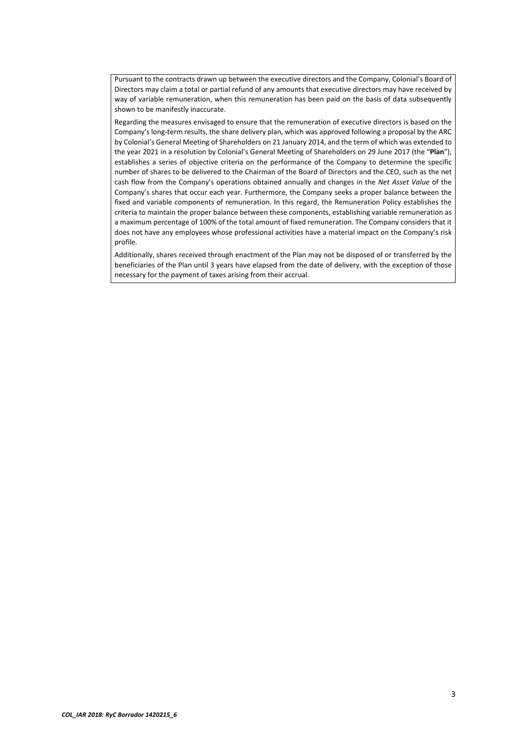Pursuant to the contracts drawn up between the executive directors and the Company, Colonial's Board of Directors may claim a total or partial refund of any amounts that executive directors may have received by way of variable remuneration, when this remuneration has been paid on the basis of data subsequently shown to be manifestly inaccurate.

Regarding the measures envisaged to ensure that the remuneration of executive directors is based on the Company's long‐term results, the share delivery plan, which was approved following a proposal by the ARC by Colonial's General Meeting of Shareholders on 21 January 2014, and the term of which was extended to the year 2021 in a resolution by Colonial's General Meeting of Shareholders on 29 June 2017 (the "**Plan**"), establishes a series of objective criteria on the performance of the Company to determine the specific number of shares to be delivered to the Chairman of the Board of Directors and the CEO, such as the net cash flow from the Company's operations obtained annually and changes in the *Net Asset Value* of the Company's shares that occur each year. Furthermore, the Company seeks a proper balance between the fixed and variable components of remuneration. In this regard, the Remuneration Policy establishes the criteria to maintain the proper balance between these components, establishing variable remuneration as a maximum percentage of 100% of the total amount of fixed remuneration. The Company considers that it does not have any employees whose professional activities have a material impact on the Company's risk profile.

Additionally, shares received through enactment of the Plan may not be disposed of or transferred by the beneficiaries of the Plan until 3 years have elapsed from the date of delivery, with the exception of those necessary for the payment of taxes arising from their accrual.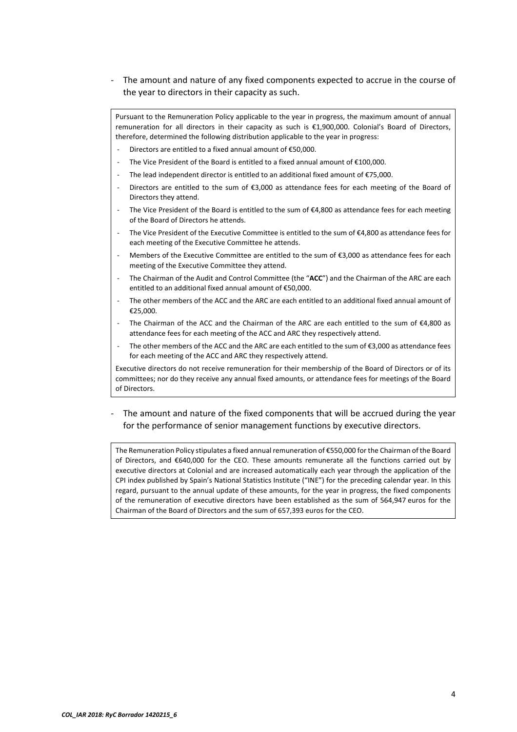The amount and nature of any fixed components expected to accrue in the course of the year to directors in their capacity as such.

Pursuant to the Remuneration Policy applicable to the year in progress, the maximum amount of annual remuneration for all directors in their capacity as such is €1,900,000. Colonial's Board of Directors, therefore, determined the following distribution applicable to the year in progress:

- Directors are entitled to a fixed annual amount of  $£50,000$ .
- The Vice President of the Board is entitled to a fixed annual amount of  $£100,000$ .
- The lead independent director is entitled to an additional fixed amount of  $E$ 75,000.
- Directors are entitled to the sum of  $\epsilon$ 3,000 as attendance fees for each meeting of the Board of Directors they attend.
- The Vice President of the Board is entitled to the sum of €4,800 as attendance fees for each meeting of the Board of Directors he attends.
- The Vice President of the Executive Committee is entitled to the sum of €4,800 as attendance fees for each meeting of the Executive Committee he attends.
- Members of the Executive Committee are entitled to the sum of €3,000 as attendance fees for each meeting of the Executive Committee they attend.
- ‐ The Chairman of the Audit and Control Committee (the "**ACC**") and the Chairman of the ARC are each entitled to an additional fixed annual amount of €50,000.
- The other members of the ACC and the ARC are each entitled to an additional fixed annual amount of €25,000.
- The Chairman of the ACC and the Chairman of the ARC are each entitled to the sum of  $\epsilon$ 4,800 as attendance fees for each meeting of the ACC and ARC they respectively attend.
- The other members of the ACC and the ARC are each entitled to the sum of €3,000 as attendance fees for each meeting of the ACC and ARC they respectively attend.

Executive directors do not receive remuneration for their membership of the Board of Directors or of its committees; nor do they receive any annual fixed amounts, or attendance fees for meetings of the Board of Directors.

# The amount and nature of the fixed components that will be accrued during the year for the performance of senior management functions by executive directors.

The Remuneration Policy stipulates a fixed annual remuneration of €550,000 for the Chairman of the Board of Directors, and €640,000 for the CEO. These amounts remunerate all the functions carried out by executive directors at Colonial and are increased automatically each year through the application of the CPI index published by Spain's National Statistics Institute ("INE") for the preceding calendar year. In this regard, pursuant to the annual update of these amounts, for the year in progress, the fixed components of the remuneration of executive directors have been established as the sum of 564,947 euros for the Chairman of the Board of Directors and the sum of 657,393 euros for the CEO.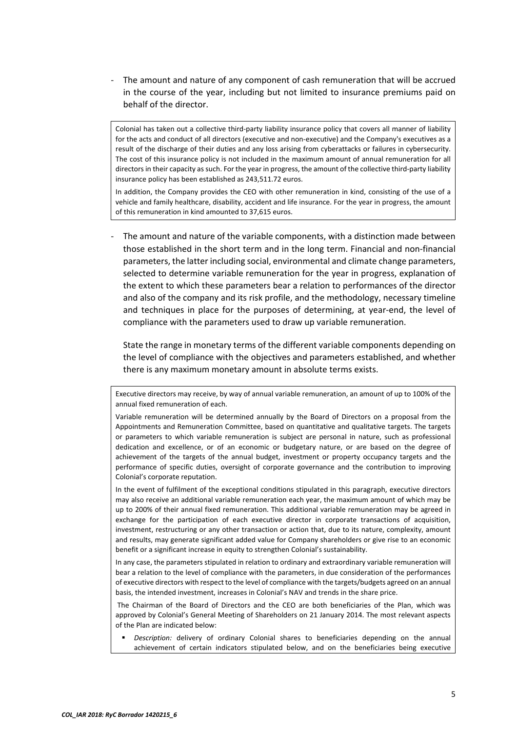The amount and nature of any component of cash remuneration that will be accrued in the course of the year, including but not limited to insurance premiums paid on behalf of the director.

Colonial has taken out a collective third‐party liability insurance policy that covers all manner of liability for the acts and conduct of all directors (executive and non-executive) and the Company's executives as a result of the discharge of their duties and any loss arising from cyberattacks or failures in cybersecurity. The cost of this insurance policy is not included in the maximum amount of annual remuneration for all directors in their capacity as such. For the year in progress, the amount of the collective third‐party liability insurance policy has been established as 243,511.72 euros.

In addition, the Company provides the CEO with other remuneration in kind, consisting of the use of a vehicle and family healthcare, disability, accident and life insurance. For the year in progress, the amount of this remuneration in kind amounted to 37,615 euros.

The amount and nature of the variable components, with a distinction made between those established in the short term and in the long term. Financial and non‐financial parameters, the latter including social, environmental and climate change parameters, selected to determine variable remuneration for the year in progress, explanation of the extent to which these parameters bear a relation to performances of the director and also of the company and its risk profile, and the methodology, necessary timeline and techniques in place for the purposes of determining, at year-end, the level of compliance with the parameters used to draw up variable remuneration.

State the range in monetary terms of the different variable components depending on the level of compliance with the objectives and parameters established, and whether there is any maximum monetary amount in absolute terms exists.

Executive directors may receive, by way of annual variable remuneration, an amount of up to 100% of the annual fixed remuneration of each.

Variable remuneration will be determined annually by the Board of Directors on a proposal from the Appointments and Remuneration Committee, based on quantitative and qualitative targets. The targets or parameters to which variable remuneration is subject are personal in nature, such as professional dedication and excellence, or of an economic or budgetary nature, or are based on the degree of achievement of the targets of the annual budget, investment or property occupancy targets and the performance of specific duties, oversight of corporate governance and the contribution to improving Colonial's corporate reputation.

In the event of fulfilment of the exceptional conditions stipulated in this paragraph, executive directors may also receive an additional variable remuneration each year, the maximum amount of which may be up to 200% of their annual fixed remuneration. This additional variable remuneration may be agreed in exchange for the participation of each executive director in corporate transactions of acquisition, investment, restructuring or any other transaction or action that, due to its nature, complexity, amount and results, may generate significant added value for Company shareholders or give rise to an economic benefit or a significant increase in equity to strengthen Colonial's sustainability.

In any case, the parameters stipulated in relation to ordinary and extraordinary variable remuneration will bear a relation to the level of compliance with the parameters, in due consideration of the performances of executive directors with respect to the level of compliance with the targets/budgets agreed on an annual basis, the intended investment, increases in Colonial's NAV and trends in the share price.

 The Chairman of the Board of Directors and the CEO are both beneficiaries of the Plan, which was approved by Colonial's General Meeting of Shareholders on 21 January 2014. The most relevant aspects of the Plan are indicated below:

 *Description:* delivery of ordinary Colonial shares to beneficiaries depending on the annual achievement of certain indicators stipulated below, and on the beneficiaries being executive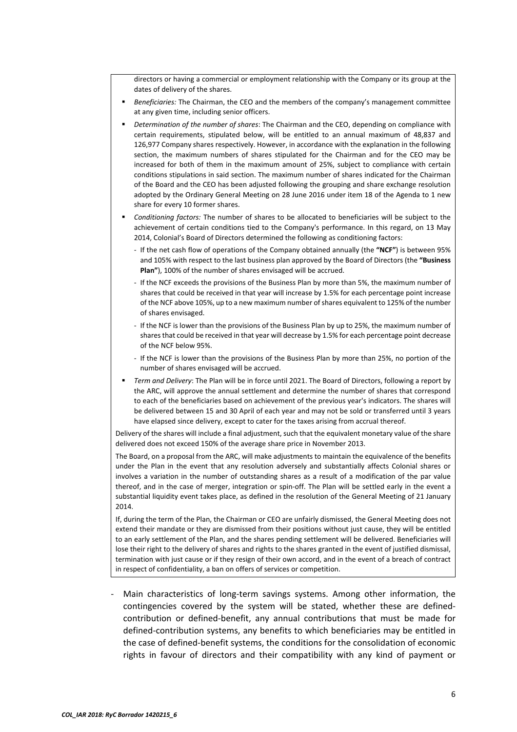directors or having a commercial or employment relationship with the Company or its group at the dates of delivery of the shares.

- *Beneficiaries:* The Chairman, the CEO and the members of the company's management committee at any given time, including senior officers.
- *Determination of the number of shares*: The Chairman and the CEO, depending on compliance with certain requirements, stipulated below, will be entitled to an annual maximum of 48,837 and 126,977 Company shares respectively. However, in accordance with the explanation in the following section, the maximum numbers of shares stipulated for the Chairman and for the CEO may be increased for both of them in the maximum amount of 25%, subject to compliance with certain conditions stipulations in said section. The maximum number of shares indicated for the Chairman of the Board and the CEO has been adjusted following the grouping and share exchange resolution adopted by the Ordinary General Meeting on 28 June 2016 under item 18 of the Agenda to 1 new share for every 10 former shares.
- *Conditioning factors:* The number of shares to be allocated to beneficiaries will be subject to the achievement of certain conditions tied to the Company's performance. In this regard, on 13 May 2014, Colonial's Board of Directors determined the following as conditioning factors:
	- ‐ If the net cash flow of operations of the Company obtained annually (the **"NCF"**) is between 95% and 105% with respect to the last business plan approved by the Board of Directors (the **"Business Plan"**), 100% of the number of shares envisaged will be accrued.
	- ‐ If the NCF exceeds the provisions of the Business Plan by more than 5%, the maximum number of shares that could be received in that year will increase by 1.5% for each percentage point increase of the NCF above 105%, up to a new maximum number of shares equivalent to 125% of the number of shares envisaged.
	- ‐ If the NCF is lower than the provisions of the Business Plan by up to 25%, the maximum number of shares that could be received in that year will decrease by 1.5% for each percentage point decrease of the NCF below 95%.
	- ‐ If the NCF is lower than the provisions of the Business Plan by more than 25%, no portion of the number of shares envisaged will be accrued.
- *Term and Delivery*: The Plan will be in force until 2021. The Board of Directors, following a report by the ARC, will approve the annual settlement and determine the number of shares that correspond to each of the beneficiaries based on achievement of the previous year's indicators. The shares will be delivered between 15 and 30 April of each year and may not be sold or transferred until 3 years have elapsed since delivery, except to cater for the taxes arising from accrual thereof.

Delivery of the shares will include a final adjustment, such that the equivalent monetary value of the share delivered does not exceed 150% of the average share price in November 2013.

The Board, on a proposal from the ARC, will make adjustments to maintain the equivalence of the benefits under the Plan in the event that any resolution adversely and substantially affects Colonial shares or involves a variation in the number of outstanding shares as a result of a modification of the par value thereof, and in the case of merger, integration or spin-off. The Plan will be settled early in the event a substantial liquidity event takes place, as defined in the resolution of the General Meeting of 21 January 2014.

If, during the term of the Plan, the Chairman or CEO are unfairly dismissed, the General Meeting does not extend their mandate or they are dismissed from their positions without just cause, they will be entitled to an early settlement of the Plan, and the shares pending settlement will be delivered. Beneficiaries will lose their right to the delivery of shares and rights to the shares granted in the event of justified dismissal, termination with just cause or if they resign of their own accord, and in the event of a breach of contract in respect of confidentiality, a ban on offers of services or competition.

Main characteristics of long-term savings systems. Among other information, the contingencies covered by the system will be stated, whether these are defined‐ contribution or defined‐benefit, any annual contributions that must be made for defined‐contribution systems, any benefits to which beneficiaries may be entitled in the case of defined‐benefit systems, the conditions for the consolidation of economic rights in favour of directors and their compatibility with any kind of payment or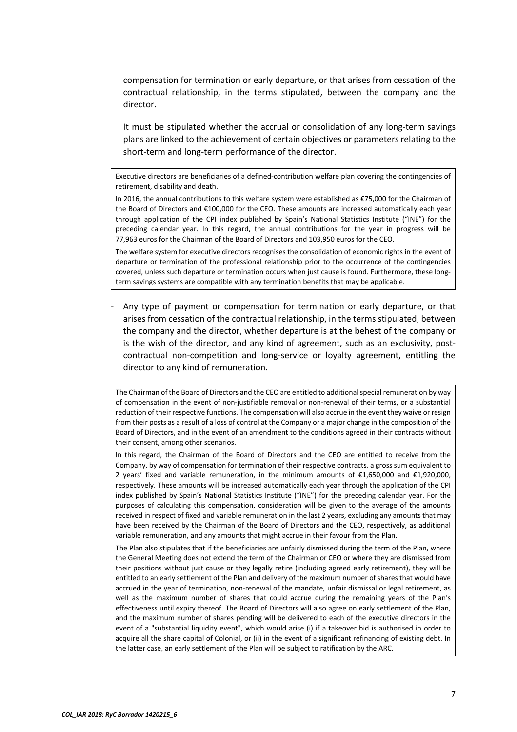compensation for termination or early departure, or that arises from cessation of the contractual relationship, in the terms stipulated, between the company and the director.

It must be stipulated whether the accrual or consolidation of any long-term savings plans are linked to the achievement of certain objectives or parameters relating to the short-term and long-term performance of the director.

Executive directors are beneficiaries of a defined-contribution welfare plan covering the contingencies of retirement, disability and death.

In 2016, the annual contributions to this welfare system were established as €75,000 for the Chairman of the Board of Directors and €100,000 for the CEO. These amounts are increased automatically each year through application of the CPI index published by Spain's National Statistics Institute ("INE") for the preceding calendar year. In this regard, the annual contributions for the year in progress will be 77,963 euros for the Chairman of the Board of Directors and 103,950 euros for the CEO.

The welfare system for executive directors recognises the consolidation of economic rights in the event of departure or termination of the professional relationship prior to the occurrence of the contingencies covered, unless such departure or termination occurs when just cause is found. Furthermore, these longterm savings systems are compatible with any termination benefits that may be applicable.

‐ Any type of payment or compensation for termination or early departure, or that arises from cessation of the contractual relationship, in the terms stipulated, between the company and the director, whether departure is at the behest of the company or is the wish of the director, and any kind of agreement, such as an exclusivity, postcontractual non-competition and long-service or loyalty agreement, entitling the director to any kind of remuneration.

The Chairman of the Board of Directors and the CEO are entitled to additional special remuneration by way of compensation in the event of non‐justifiable removal or non‐renewal of their terms, or a substantial reduction of their respective functions. The compensation will also accrue in the event they waive or resign from their posts as a result of a loss of control at the Company or a major change in the composition of the Board of Directors, and in the event of an amendment to the conditions agreed in their contracts without their consent, among other scenarios.

In this regard, the Chairman of the Board of Directors and the CEO are entitled to receive from the Company, by way of compensation for termination of their respective contracts, a gross sum equivalent to 2 years' fixed and variable remuneration, in the minimum amounts of  $\epsilon$ 1,650,000 and  $\epsilon$ 1,920,000, respectively. These amounts will be increased automatically each year through the application of the CPI index published by Spain's National Statistics Institute ("INE") for the preceding calendar year. For the purposes of calculating this compensation, consideration will be given to the average of the amounts received in respect of fixed and variable remuneration in the last 2 years, excluding any amounts that may have been received by the Chairman of the Board of Directors and the CEO, respectively, as additional variable remuneration, and any amounts that might accrue in their favour from the Plan.

The Plan also stipulates that if the beneficiaries are unfairly dismissed during the term of the Plan, where the General Meeting does not extend the term of the Chairman or CEO or where they are dismissed from their positions without just cause or they legally retire (including agreed early retirement), they will be entitled to an early settlement of the Plan and delivery of the maximum number of shares that would have accrued in the year of termination, non-renewal of the mandate, unfair dismissal or legal retirement, as well as the maximum number of shares that could accrue during the remaining years of the Plan's effectiveness until expiry thereof. The Board of Directors will also agree on early settlement of the Plan, and the maximum number of shares pending will be delivered to each of the executive directors in the event of a "substantial liquidity event", which would arise (i) if a takeover bid is authorised in order to acquire all the share capital of Colonial, or (ii) in the event of a significant refinancing of existing debt. In the latter case, an early settlement of the Plan will be subject to ratification by the ARC.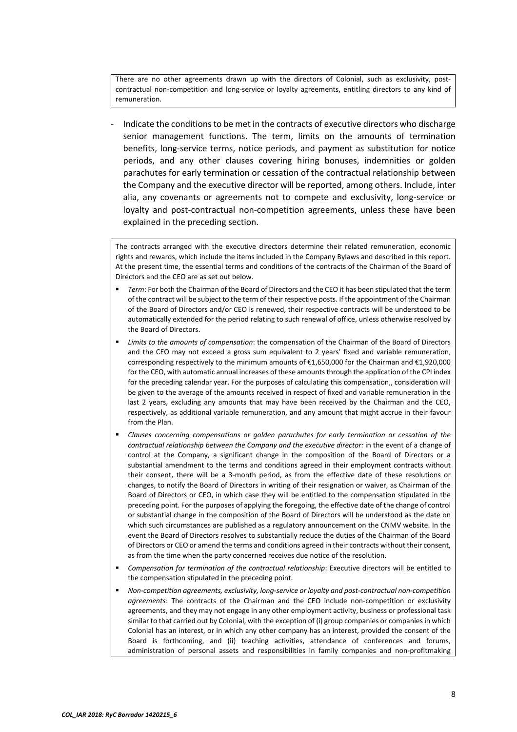There are no other agreements drawn up with the directors of Colonial, such as exclusivity, postcontractual non-competition and long-service or loyalty agreements, entitling directors to any kind of remuneration.

‐ Indicate the conditions to be met in the contracts of executive directors who discharge senior management functions. The term, limits on the amounts of termination benefits, long‐service terms, notice periods, and payment as substitution for notice periods, and any other clauses covering hiring bonuses, indemnities or golden parachutes for early termination or cessation of the contractual relationship between the Company and the executive director will be reported, among others. Include, inter alia, any covenants or agreements not to compete and exclusivity, long‐service or loyalty and post-contractual non-competition agreements, unless these have been explained in the preceding section.

The contracts arranged with the executive directors determine their related remuneration, economic rights and rewards, which include the items included in the Company Bylaws and described in this report. At the present time, the essential terms and conditions of the contracts of the Chairman of the Board of Directors and the CEO are as set out below.

- *Term*: For both the Chairman of the Board of Directors and the CEO it has been stipulated that the term of the contract will be subject to the term of their respective posts. If the appointment of the Chairman of the Board of Directors and/or CEO is renewed, their respective contracts will be understood to be automatically extended for the period relating to such renewal of office, unless otherwise resolved by the Board of Directors.
- *Limits to the amounts of compensation*: the compensation of the Chairman of the Board of Directors and the CEO may not exceed a gross sum equivalent to 2 years' fixed and variable remuneration, corresponding respectively to the minimum amounts of €1,650,000 for the Chairman and €1,920,000 for the CEO, with automatic annual increases of these amounts through the application of the CPI index for the preceding calendar year. For the purposes of calculating this compensation,, consideration will be given to the average of the amounts received in respect of fixed and variable remuneration in the last 2 years, excluding any amounts that may have been received by the Chairman and the CEO, respectively, as additional variable remuneration, and any amount that might accrue in their favour from the Plan.
- *Clauses concerning compensations or golden parachutes for early termination or cessation of the contractual relationship between the Company and the executive director:* in the event of a change of control at the Company, a significant change in the composition of the Board of Directors or a substantial amendment to the terms and conditions agreed in their employment contracts without their consent, there will be a 3-month period, as from the effective date of these resolutions or changes, to notify the Board of Directors in writing of their resignation or waiver, as Chairman of the Board of Directors or CEO, in which case they will be entitled to the compensation stipulated in the preceding point. For the purposes of applying the foregoing, the effective date of the change of control or substantial change in the composition of the Board of Directors will be understood as the date on which such circumstances are published as a regulatory announcement on the CNMV website. In the event the Board of Directors resolves to substantially reduce the duties of the Chairman of the Board of Directors or CEO or amend the terms and conditions agreed in their contracts without their consent, as from the time when the party concerned receives due notice of the resolution.
- *Compensation for termination of the contractual relationship*: Executive directors will be entitled to the compensation stipulated in the preceding point.
- *Non‐competition agreements, exclusivity, long‐service or loyalty and post‐contractual non‐competition agreements*: The contracts of the Chairman and the CEO include non‐competition or exclusivity agreements, and they may not engage in any other employment activity, business or professional task similar to that carried out by Colonial, with the exception of (i) group companies or companies in which Colonial has an interest, or in which any other company has an interest, provided the consent of the Board is forthcoming, and (ii) teaching activities, attendance of conferences and forums, administration of personal assets and responsibilities in family companies and non-profitmaking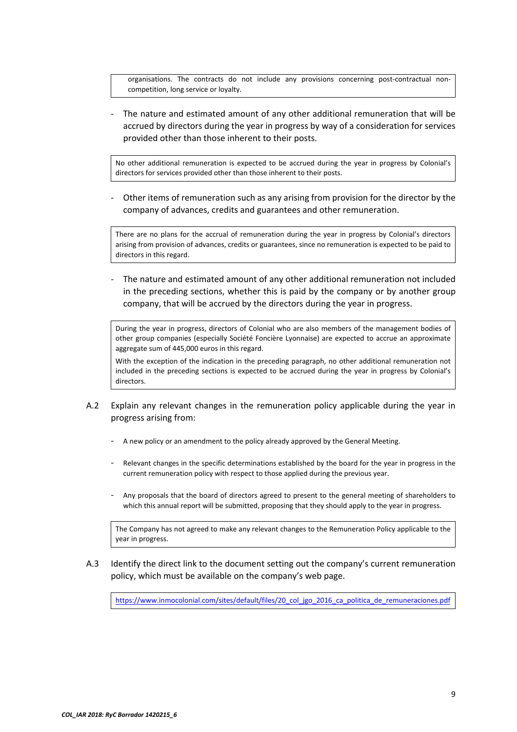organisations. The contracts do not include any provisions concerning post-contractual noncompetition, long service or loyalty.

‐ The nature and estimated amount of any other additional remuneration that will be accrued by directors during the year in progress by way of a consideration for services provided other than those inherent to their posts.

No other additional remuneration is expected to be accrued during the year in progress by Colonial's directors for services provided other than those inherent to their posts.

‐ Other items of remuneration such as any arising from provision for the director by the company of advances, credits and guarantees and other remuneration.

There are no plans for the accrual of remuneration during the year in progress by Colonial's directors arising from provision of advances, credits or guarantees, since no remuneration is expected to be paid to directors in this regard.

‐ The nature and estimated amount of any other additional remuneration not included in the preceding sections, whether this is paid by the company or by another group company, that will be accrued by the directors during the year in progress.

During the year in progress, directors of Colonial who are also members of the management bodies of other group companies (especially Société Foncière Lyonnaise) are expected to accrue an approximate aggregate sum of 445,000 euros in this regard.

With the exception of the indication in the preceding paragraph, no other additional remuneration not included in the preceding sections is expected to be accrued during the year in progress by Colonial's directors.

- A.2 Explain any relevant changes in the remuneration policy applicable during the year in progress arising from:
	- ‐ A new policy or an amendment to the policy already approved by the General Meeting.
	- Relevant changes in the specific determinations established by the board for the year in progress in the current remuneration policy with respect to those applied during the previous year.
	- ‐ Any proposals that the board of directors agreed to present to the general meeting of shareholders to which this annual report will be submitted, proposing that they should apply to the year in progress.

The Company has not agreed to make any relevant changes to the Remuneration Policy applicable to the year in progress.

A.3 Identify the direct link to the document setting out the company's current remuneration policy, which must be available on the company's web page.

https://www.inmocolonial.com/sites/default/files/20 col jgo 2016 ca politica de remuneraciones.pdf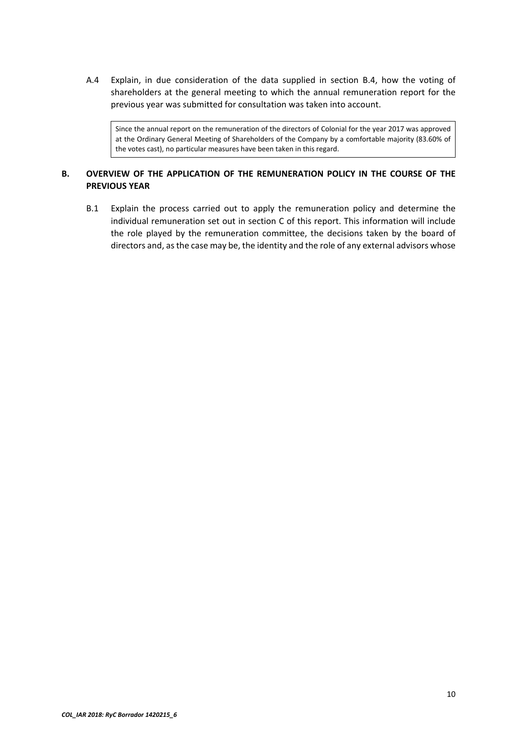A.4 Explain, in due consideration of the data supplied in section B.4, how the voting of shareholders at the general meeting to which the annual remuneration report for the previous year was submitted for consultation was taken into account.

Since the annual report on the remuneration of the directors of Colonial for the year 2017 was approved at the Ordinary General Meeting of Shareholders of the Company by a comfortable majority (83.60% of the votes cast), no particular measures have been taken in this regard.

# **B. OVERVIEW OF THE APPLICATION OF THE REMUNERATION POLICY IN THE COURSE OF THE PREVIOUS YEAR**

B.1 Explain the process carried out to apply the remuneration policy and determine the individual remuneration set out in section C of this report. This information will include the role played by the remuneration committee, the decisions taken by the board of directors and, as the case may be, the identity and the role of any external advisors whose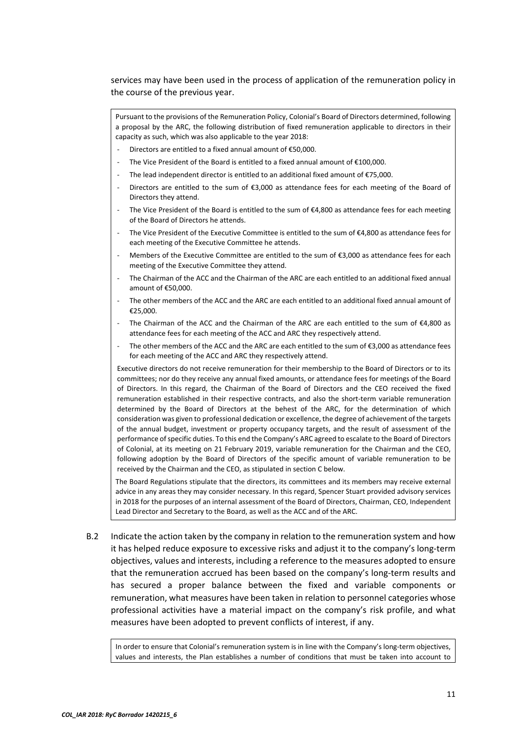services may have been used in the process of application of the remuneration policy in the course of the previous year.

Pursuant to the provisions of the Remuneration Policy, Colonial's Board of Directors determined, following a proposal by the ARC, the following distribution of fixed remuneration applicable to directors in their capacity as such, which was also applicable to the year 2018:

- ‐ Directors are entitled to a fixed annual amount of €50,000.
- The Vice President of the Board is entitled to a fixed annual amount of  $£100,000$ .
- The lead independent director is entitled to an additional fixed amount of  $E$ 75,000.
- Directors are entitled to the sum of  $\epsilon$ 3,000 as attendance fees for each meeting of the Board of Directors they attend.
- The Vice President of the Board is entitled to the sum of €4,800 as attendance fees for each meeting of the Board of Directors he attends.
- The Vice President of the Executive Committee is entitled to the sum of €4,800 as attendance fees for each meeting of the Executive Committee he attends.
- Members of the Executive Committee are entitled to the sum of €3,000 as attendance fees for each meeting of the Executive Committee they attend.
- The Chairman of the ACC and the Chairman of the ARC are each entitled to an additional fixed annual amount of €50,000.
- The other members of the ACC and the ARC are each entitled to an additional fixed annual amount of €25,000.
- The Chairman of the ACC and the Chairman of the ARC are each entitled to the sum of  $\epsilon$ 4,800 as attendance fees for each meeting of the ACC and ARC they respectively attend.
- The other members of the ACC and the ARC are each entitled to the sum of €3,000 as attendance fees for each meeting of the ACC and ARC they respectively attend.

Executive directors do not receive remuneration for their membership to the Board of Directors or to its committees; nor do they receive any annual fixed amounts, or attendance fees for meetings of the Board of Directors. In this regard, the Chairman of the Board of Directors and the CEO received the fixed remuneration established in their respective contracts, and also the short-term variable remuneration determined by the Board of Directors at the behest of the ARC, for the determination of which consideration was given to professional dedication or excellence, the degree of achievement of the targets of the annual budget, investment or property occupancy targets, and the result of assessment of the performance of specific duties. To this end the Company's ARC agreed to escalate to the Board of Directors of Colonial, at its meeting on 21 February 2019, variable remuneration for the Chairman and the CEO, following adoption by the Board of Directors of the specific amount of variable remuneration to be received by the Chairman and the CEO, as stipulated in section C below.

The Board Regulations stipulate that the directors, its committees and its members may receive external advice in any areas they may consider necessary. In this regard, Spencer Stuart provided advisory services in 2018 for the purposes of an internal assessment of the Board of Directors, Chairman, CEO, Independent Lead Director and Secretary to the Board, as well as the ACC and of the ARC.

B.2 Indicate the action taken by the company in relation to the remuneration system and how it has helped reduce exposure to excessive risks and adjust it to the company's long‐term objectives, values and interests, including a reference to the measures adopted to ensure that the remuneration accrued has been based on the company's long-term results and has secured a proper balance between the fixed and variable components or remuneration, what measures have been taken in relation to personnel categories whose professional activities have a material impact on the company's risk profile, and what measures have been adopted to prevent conflicts of interest, if any.

In order to ensure that Colonial's remuneration system is in line with the Company's long-term objectives, values and interests, the Plan establishes a number of conditions that must be taken into account to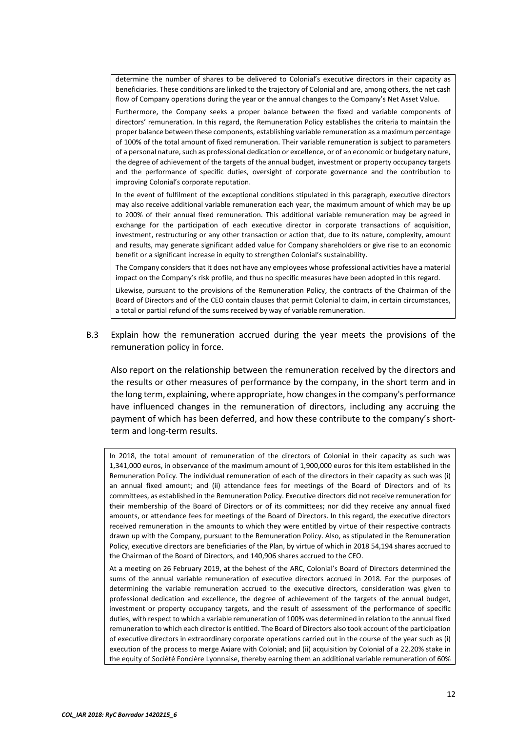determine the number of shares to be delivered to Colonial's executive directors in their capacity as beneficiaries. These conditions are linked to the trajectory of Colonial and are, among others, the net cash flow of Company operations during the year or the annual changes to the Company's Net Asset Value.

Furthermore, the Company seeks a proper balance between the fixed and variable components of directors' remuneration. In this regard, the Remuneration Policy establishes the criteria to maintain the proper balance between these components, establishing variable remuneration as a maximum percentage of 100% of the total amount of fixed remuneration. Their variable remuneration is subject to parameters of a personal nature, such as professional dedication or excellence, or of an economic or budgetary nature, the degree of achievement of the targets of the annual budget, investment or property occupancy targets and the performance of specific duties, oversight of corporate governance and the contribution to improving Colonial's corporate reputation.

In the event of fulfilment of the exceptional conditions stipulated in this paragraph, executive directors may also receive additional variable remuneration each year, the maximum amount of which may be up to 200% of their annual fixed remuneration. This additional variable remuneration may be agreed in exchange for the participation of each executive director in corporate transactions of acquisition, investment, restructuring or any other transaction or action that, due to its nature, complexity, amount and results, may generate significant added value for Company shareholders or give rise to an economic benefit or a significant increase in equity to strengthen Colonial's sustainability.

The Company considers that it does not have any employees whose professional activities have a material impact on the Company's risk profile, and thus no specific measures have been adopted in this regard.

Likewise, pursuant to the provisions of the Remuneration Policy, the contracts of the Chairman of the Board of Directors and of the CEO contain clauses that permit Colonial to claim, in certain circumstances, a total or partial refund of the sums received by way of variable remuneration.

B.3 Explain how the remuneration accrued during the year meets the provisions of the remuneration policy in force.

Also report on the relationship between the remuneration received by the directors and the results or other measures of performance by the company, in the short term and in the long term, explaining, where appropriate, how changes in the company's performance have influenced changes in the remuneration of directors, including any accruing the payment of which has been deferred, and how these contribute to the company's short‐ term and long‐term results.

In 2018, the total amount of remuneration of the directors of Colonial in their capacity as such was 1,341,000 euros, in observance of the maximum amount of 1,900,000 euros for this item established in the Remuneration Policy. The individual remuneration of each of the directors in their capacity as such was (i) an annual fixed amount; and (ii) attendance fees for meetings of the Board of Directors and of its committees, as established in the Remuneration Policy. Executive directors did not receive remuneration for their membership of the Board of Directors or of its committees; nor did they receive any annual fixed amounts, or attendance fees for meetings of the Board of Directors. In this regard, the executive directors received remuneration in the amounts to which they were entitled by virtue of their respective contracts drawn up with the Company, pursuant to the Remuneration Policy. Also, as stipulated in the Remuneration Policy, executive directors are beneficiaries of the Plan, by virtue of which in 2018 54,194 shares accrued to the Chairman of the Board of Directors, and 140,906 shares accrued to the CEO.

At a meeting on 26 February 2019, at the behest of the ARC, Colonial's Board of Directors determined the sums of the annual variable remuneration of executive directors accrued in 2018. For the purposes of determining the variable remuneration accrued to the executive directors, consideration was given to professional dedication and excellence, the degree of achievement of the targets of the annual budget, investment or property occupancy targets, and the result of assessment of the performance of specific duties, with respect to which a variable remuneration of 100% was determined in relation to the annual fixed remuneration to which each director is entitled. The Board of Directors also took account of the participation of executive directors in extraordinary corporate operations carried out in the course of the year such as (i) execution of the process to merge Axiare with Colonial; and (ii) acquisition by Colonial of a 22.20% stake in the equity of Société Foncière Lyonnaise, thereby earning them an additional variable remuneration of 60%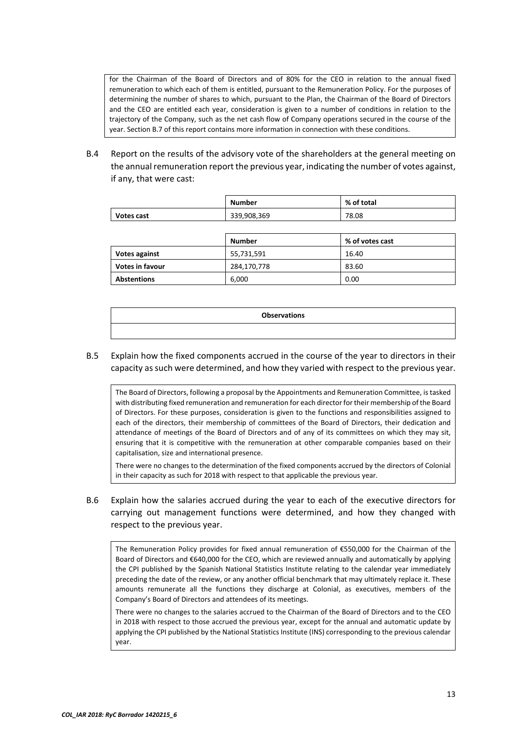for the Chairman of the Board of Directors and of 80% for the CEO in relation to the annual fixed remuneration to which each of them is entitled, pursuant to the Remuneration Policy. For the purposes of determining the number of shares to which, pursuant to the Plan, the Chairman of the Board of Directors and the CEO are entitled each year, consideration is given to a number of conditions in relation to the trajectory of the Company, such as the net cash flow of Company operations secured in the course of the year. Section B.7 of this report contains more information in connection with these conditions.

B.4 Report on the results of the advisory vote of the shareholders at the general meeting on the annual remuneration report the previous year, indicating the number of votes against, if any, that were cast:

|            | Number      | % of total |  |  |
|------------|-------------|------------|--|--|
| Votes cast | 339,908,369 | 78.08      |  |  |

|                        | Number      | % of votes cast |
|------------------------|-------------|-----------------|
| <b>Votes against</b>   | 55,731,591  | 16.40           |
| <b>Votes in favour</b> | 284,170,778 | 83.60           |
| <b>Abstentions</b>     | 6,000       | 0.00            |

| <b>Observations</b> |
|---------------------|
|                     |

B.5 Explain how the fixed components accrued in the course of the year to directors in their capacity as such were determined, and how they varied with respect to the previous year.

The Board of Directors, following a proposal by the Appointments and Remuneration Committee, is tasked with distributing fixed remuneration and remuneration for each director for their membership of the Board of Directors. For these purposes, consideration is given to the functions and responsibilities assigned to each of the directors, their membership of committees of the Board of Directors, their dedication and attendance of meetings of the Board of Directors and of any of its committees on which they may sit, ensuring that it is competitive with the remuneration at other comparable companies based on their capitalisation, size and international presence.

There were no changes to the determination of the fixed components accrued by the directors of Colonial in their capacity as such for 2018 with respect to that applicable the previous year.

B.6 Explain how the salaries accrued during the year to each of the executive directors for carrying out management functions were determined, and how they changed with respect to the previous year.

The Remuneration Policy provides for fixed annual remuneration of €550,000 for the Chairman of the Board of Directors and €640,000 for the CEO, which are reviewed annually and automatically by applying the CPI published by the Spanish National Statistics Institute relating to the calendar year immediately preceding the date of the review, or any another official benchmark that may ultimately replace it. These amounts remunerate all the functions they discharge at Colonial, as executives, members of the Company's Board of Directors and attendees of its meetings.

There were no changes to the salaries accrued to the Chairman of the Board of Directors and to the CEO in 2018 with respect to those accrued the previous year, except for the annual and automatic update by applying the CPI published by the National Statistics Institute (INS) corresponding to the previous calendar year.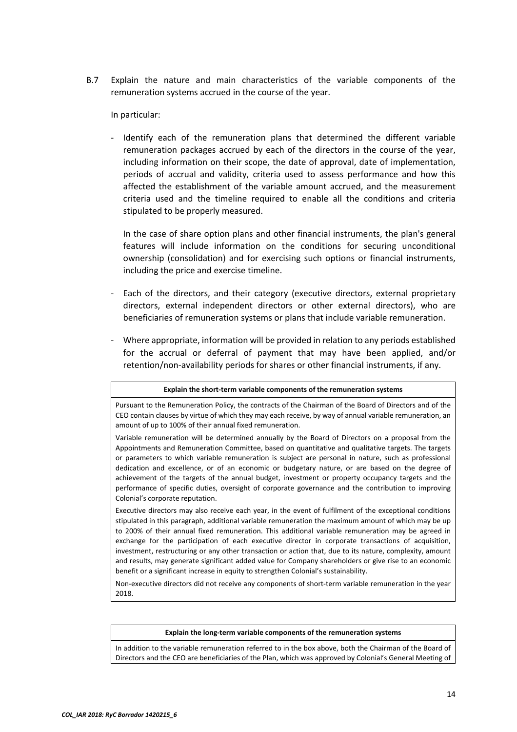B.7 Explain the nature and main characteristics of the variable components of the remuneration systems accrued in the course of the year.

In particular:

Identify each of the remuneration plans that determined the different variable remuneration packages accrued by each of the directors in the course of the year, including information on their scope, the date of approval, date of implementation, periods of accrual and validity, criteria used to assess performance and how this affected the establishment of the variable amount accrued, and the measurement criteria used and the timeline required to enable all the conditions and criteria stipulated to be properly measured.

In the case of share option plans and other financial instruments, the plan's general features will include information on the conditions for securing unconditional ownership (consolidation) and for exercising such options or financial instruments, including the price and exercise timeline.

- Each of the directors, and their category (executive directors, external proprietary directors, external independent directors or other external directors), who are beneficiaries of remuneration systems or plans that include variable remuneration.
- ‐ Where appropriate, information will be provided in relation to any periods established for the accrual or deferral of payment that may have been applied, and/or retention/non‐availability periods for shares or other financial instruments, if any.

#### **Explain the short‐term variable components of the remuneration systems**

Pursuant to the Remuneration Policy, the contracts of the Chairman of the Board of Directors and of the CEO contain clauses by virtue of which they may each receive, by way of annual variable remuneration, an amount of up to 100% of their annual fixed remuneration.

Variable remuneration will be determined annually by the Board of Directors on a proposal from the Appointments and Remuneration Committee, based on quantitative and qualitative targets. The targets or parameters to which variable remuneration is subject are personal in nature, such as professional dedication and excellence, or of an economic or budgetary nature, or are based on the degree of achievement of the targets of the annual budget, investment or property occupancy targets and the performance of specific duties, oversight of corporate governance and the contribution to improving Colonial's corporate reputation.

Executive directors may also receive each year, in the event of fulfilment of the exceptional conditions stipulated in this paragraph, additional variable remuneration the maximum amount of which may be up to 200% of their annual fixed remuneration. This additional variable remuneration may be agreed in exchange for the participation of each executive director in corporate transactions of acquisition, investment, restructuring or any other transaction or action that, due to its nature, complexity, amount and results, may generate significant added value for Company shareholders or give rise to an economic benefit or a significant increase in equity to strengthen Colonial's sustainability.

Non‐executive directors did not receive any components of short‐term variable remuneration in the year 2018.

#### **Explain the long‐term variable components of the remuneration systems**

In addition to the variable remuneration referred to in the box above, both the Chairman of the Board of Directors and the CEO are beneficiaries of the Plan, which was approved by Colonial's General Meeting of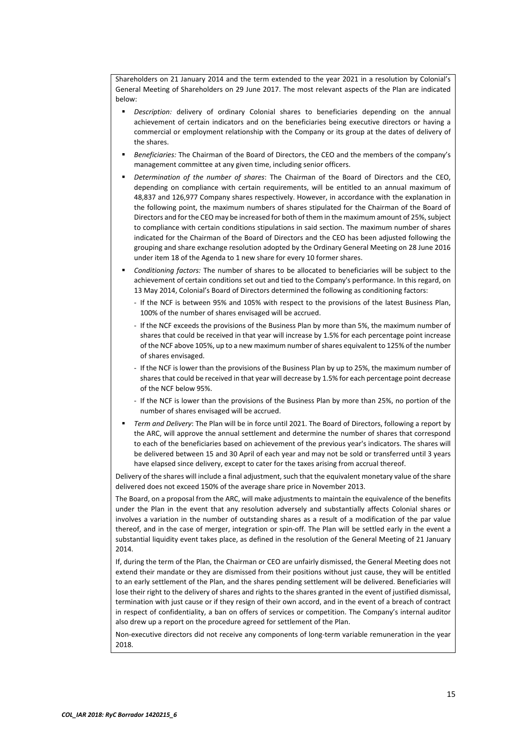Shareholders on 21 January 2014 and the term extended to the year 2021 in a resolution by Colonial's General Meeting of Shareholders on 29 June 2017. The most relevant aspects of the Plan are indicated below:

- *Description:* delivery of ordinary Colonial shares to beneficiaries depending on the annual achievement of certain indicators and on the beneficiaries being executive directors or having a commercial or employment relationship with the Company or its group at the dates of delivery of the shares.
- *Beneficiaries:* The Chairman of the Board of Directors, the CEO and the members of the company's management committee at any given time, including senior officers.
- *Determination of the number of shares*: The Chairman of the Board of Directors and the CEO, depending on compliance with certain requirements, will be entitled to an annual maximum of 48,837 and 126,977 Company shares respectively. However, in accordance with the explanation in the following point, the maximum numbers of shares stipulated for the Chairman of the Board of Directors and for the CEO may be increased for both of them in the maximum amount of 25%, subject to compliance with certain conditions stipulations in said section. The maximum number of shares indicated for the Chairman of the Board of Directors and the CEO has been adjusted following the grouping and share exchange resolution adopted by the Ordinary General Meeting on 28 June 2016 under item 18 of the Agenda to 1 new share for every 10 former shares.
- *Conditioning factors:* The number of shares to be allocated to beneficiaries will be subject to the achievement of certain conditions set out and tied to the Company's performance. In this regard, on 13 May 2014, Colonial's Board of Directors determined the following as conditioning factors:
	- ‐ If the NCF is between 95% and 105% with respect to the provisions of the latest Business Plan, 100% of the number of shares envisaged will be accrued.
	- ‐ If the NCF exceeds the provisions of the Business Plan by more than 5%, the maximum number of shares that could be received in that year will increase by 1.5% for each percentage point increase of the NCF above 105%, up to a new maximum number of shares equivalent to 125% of the number of shares envisaged.
	- ‐ If the NCF is lower than the provisions of the Business Plan by up to 25%, the maximum number of shares that could be received in that year will decrease by 1.5% for each percentage point decrease of the NCF below 95%.
	- ‐ If the NCF is lower than the provisions of the Business Plan by more than 25%, no portion of the number of shares envisaged will be accrued.
- *Term and Delivery*: The Plan will be in force until 2021. The Board of Directors, following a report by the ARC, will approve the annual settlement and determine the number of shares that correspond to each of the beneficiaries based on achievement of the previous year's indicators. The shares will be delivered between 15 and 30 April of each year and may not be sold or transferred until 3 years have elapsed since delivery, except to cater for the taxes arising from accrual thereof.

Delivery of the shares will include a final adjustment, such that the equivalent monetary value of the share delivered does not exceed 150% of the average share price in November 2013.

The Board, on a proposal from the ARC, will make adjustments to maintain the equivalence of the benefits under the Plan in the event that any resolution adversely and substantially affects Colonial shares or involves a variation in the number of outstanding shares as a result of a modification of the par value thereof, and in the case of merger, integration or spin‐off. The Plan will be settled early in the event a substantial liquidity event takes place, as defined in the resolution of the General Meeting of 21 January 2014.

If, during the term of the Plan, the Chairman or CEO are unfairly dismissed, the General Meeting does not extend their mandate or they are dismissed from their positions without just cause, they will be entitled to an early settlement of the Plan, and the shares pending settlement will be delivered. Beneficiaries will lose their right to the delivery of shares and rights to the shares granted in the event of justified dismissal, termination with just cause or if they resign of their own accord, and in the event of a breach of contract in respect of confidentiality, a ban on offers of services or competition. The Company's internal auditor also drew up a report on the procedure agreed for settlement of the Plan.

Non‐executive directors did not receive any components of long‐term variable remuneration in the year 2018.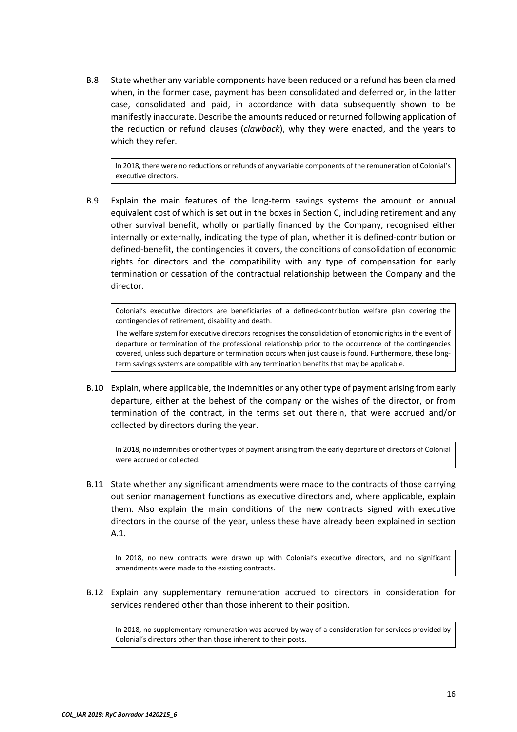B.8 State whether any variable components have been reduced or a refund has been claimed when, in the former case, payment has been consolidated and deferred or, in the latter case, consolidated and paid, in accordance with data subsequently shown to be manifestly inaccurate. Describe the amounts reduced or returned following application of the reduction or refund clauses (*clawback*), why they were enacted, and the years to which they refer.

In 2018, there were no reductions or refunds of any variable components of the remuneration of Colonial's executive directors.

B.9 Explain the main features of the long-term savings systems the amount or annual equivalent cost of which is set out in the boxes in Section C, including retirement and any other survival benefit, wholly or partially financed by the Company, recognised either internally or externally, indicating the type of plan, whether it is defined‐contribution or defined‐benefit, the contingencies it covers, the conditions of consolidation of economic rights for directors and the compatibility with any type of compensation for early termination or cessation of the contractual relationship between the Company and the director.

Colonial's executive directors are beneficiaries of a defined‐contribution welfare plan covering the contingencies of retirement, disability and death.

The welfare system for executive directors recognises the consolidation of economic rights in the event of departure or termination of the professional relationship prior to the occurrence of the contingencies covered, unless such departure or termination occurs when just cause is found. Furthermore, these longterm savings systems are compatible with any termination benefits that may be applicable.

B.10 Explain, where applicable, the indemnities or any other type of payment arising from early departure, either at the behest of the company or the wishes of the director, or from termination of the contract, in the terms set out therein, that were accrued and/or collected by directors during the year.

In 2018, no indemnities or other types of payment arising from the early departure of directors of Colonial were accrued or collected.

B.11 State whether any significant amendments were made to the contracts of those carrying out senior management functions as executive directors and, where applicable, explain them. Also explain the main conditions of the new contracts signed with executive directors in the course of the year, unless these have already been explained in section A.1.

In 2018, no new contracts were drawn up with Colonial's executive directors, and no significant amendments were made to the existing contracts.

B.12 Explain any supplementary remuneration accrued to directors in consideration for services rendered other than those inherent to their position.

In 2018, no supplementary remuneration was accrued by way of a consideration for services provided by Colonial's directors other than those inherent to their posts.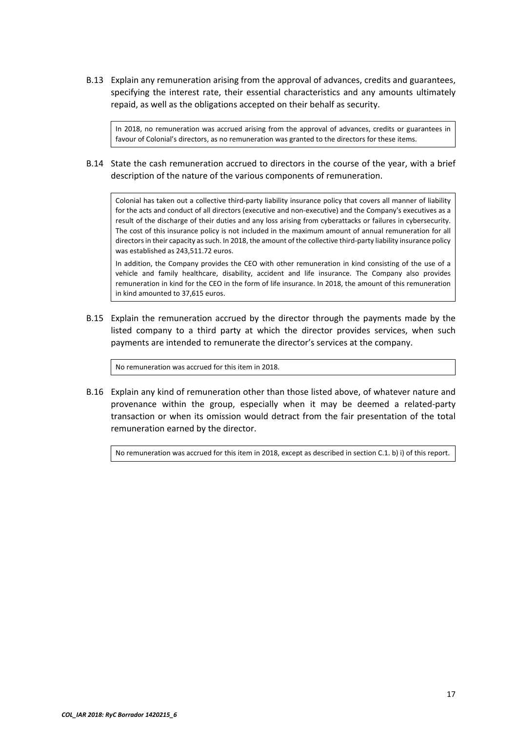B.13 Explain any remuneration arising from the approval of advances, credits and guarantees, specifying the interest rate, their essential characteristics and any amounts ultimately repaid, as well as the obligations accepted on their behalf as security.

In 2018, no remuneration was accrued arising from the approval of advances, credits or guarantees in favour of Colonial's directors, as no remuneration was granted to the directors for these items.

# B.14 State the cash remuneration accrued to directors in the course of the year, with a brief description of the nature of the various components of remuneration.

Colonial has taken out a collective third‐party liability insurance policy that covers all manner of liability for the acts and conduct of all directors (executive and non‐executive) and the Company's executives as a result of the discharge of their duties and any loss arising from cyberattacks or failures in cybersecurity. The cost of this insurance policy is not included in the maximum amount of annual remuneration for all directors in their capacity as such. In 2018, the amount of the collective third-party liability insurance policy was established as 243,511.72 euros.

In addition, the Company provides the CEO with other remuneration in kind consisting of the use of a vehicle and family healthcare, disability, accident and life insurance. The Company also provides remuneration in kind for the CEO in the form of life insurance. In 2018, the amount of this remuneration in kind amounted to 37,615 euros.

B.15 Explain the remuneration accrued by the director through the payments made by the listed company to a third party at which the director provides services, when such payments are intended to remunerate the director's services at the company.

No remuneration was accrued for this item in 2018.

B.16 Explain any kind of remuneration other than those listed above, of whatever nature and provenance within the group, especially when it may be deemed a related‐party transaction or when its omission would detract from the fair presentation of the total remuneration earned by the director.

No remuneration was accrued for this item in 2018, except as described in section C.1. b) i) of this report.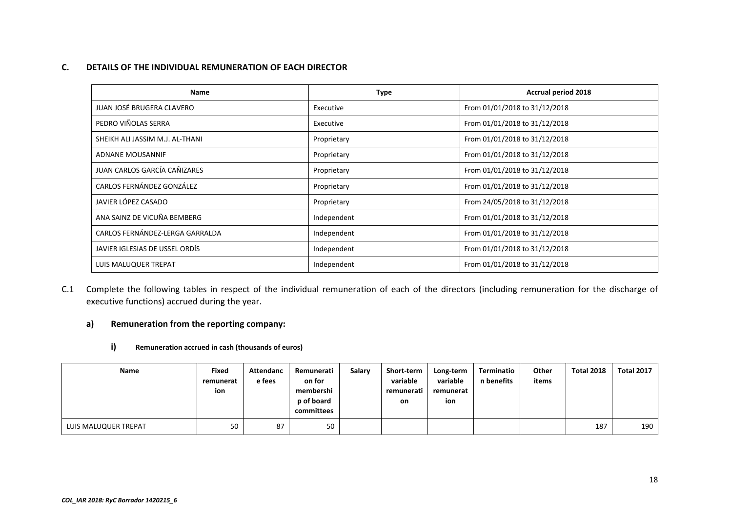#### **C.DETAILS OF THE INDIVIDUAL REMUNERATION OF EACH DIRECTOR**

| Name                            | Type        | <b>Accrual period 2018</b>    |  |  |
|---------------------------------|-------------|-------------------------------|--|--|
| JUAN JOSÉ BRUGERA CLAVERO       | Executive   | From 01/01/2018 to 31/12/2018 |  |  |
| PEDRO VIÑOLAS SERRA             | Executive   | From 01/01/2018 to 31/12/2018 |  |  |
| SHEIKH ALI JASSIM M.J. AL-THANI | Proprietary | From 01/01/2018 to 31/12/2018 |  |  |
| ADNANE MOUSANNIF                | Proprietary | From 01/01/2018 to 31/12/2018 |  |  |
| JUAN CARLOS GARCÍA CAÑIZARES    | Proprietary | From 01/01/2018 to 31/12/2018 |  |  |
| CARLOS FERNÁNDEZ GONZÁLEZ       | Proprietary | From 01/01/2018 to 31/12/2018 |  |  |
| JAVIER LÓPEZ CASADO             | Proprietary | From 24/05/2018 to 31/12/2018 |  |  |
| ANA SAINZ DE VICUÑA BEMBERG     | Independent | From 01/01/2018 to 31/12/2018 |  |  |
| CARLOS FERNÁNDEZ-LERGA GARRALDA | Independent | From 01/01/2018 to 31/12/2018 |  |  |
| JAVIER IGLESIAS DE USSEL ORDÍS  | Independent | From 01/01/2018 to 31/12/2018 |  |  |
| LUIS MALUQUER TREPAT            | Independent | From 01/01/2018 to 31/12/2018 |  |  |

C.1 Complete the following tables in respect of the individual remuneration of each of the directors (including remuneration for the discharge of executive functions) accrued during the year.

# **a) Remuneration from the reporting company:**

#### **i) Remuneration accrued in cash (thousands of euros)**

| <b>Name</b>          | Fixed<br>remunerat<br>ion | Attendanc<br>e fees | Remunerati<br>on for<br>membershi<br>p of board<br>committees | Salary | Short-term<br>variable<br>remunerati<br>on | Long-term<br>variable<br>remunerat<br>ion | Terminatio<br>n benefits | Other<br>items | <b>Total 2018</b> | <b>Total 2017</b> |
|----------------------|---------------------------|---------------------|---------------------------------------------------------------|--------|--------------------------------------------|-------------------------------------------|--------------------------|----------------|-------------------|-------------------|
| LUIS MALUQUER TREPAT | 50                        | 87                  | 50                                                            |        |                                            |                                           |                          |                | 187               | 190               |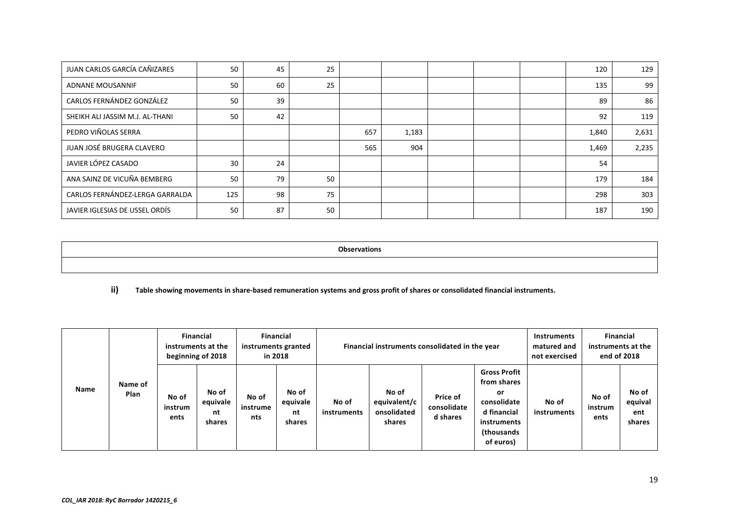| JUAN CARLOS GARCÍA CAÑIZARES    | 50  | 45 | 25 |     |       |  | 120   | 129   |
|---------------------------------|-----|----|----|-----|-------|--|-------|-------|
| ADNANE MOUSANNIF                | 50  | 60 | 25 |     |       |  | 135   | 99    |
| CARLOS FERNÁNDEZ GONZÁLEZ       | 50  | 39 |    |     |       |  | 89    | 86    |
| SHEIKH ALI JASSIM M.J. AL-THANI | 50  | 42 |    |     |       |  | 92    | 119   |
| PEDRO VIÑOLAS SERRA             |     |    |    | 657 | 1,183 |  | 1,840 | 2,631 |
| JUAN JOSÉ BRUGERA CLAVERO       |     |    |    | 565 | 904   |  | 1,469 | 2,235 |
| JAVIER LÓPEZ CASADO             | 30  | 24 |    |     |       |  | 54    |       |
| ANA SAINZ DE VICUÑA BEMBERG     | 50  | 79 | 50 |     |       |  | 179   | 184   |
| CARLOS FERNÁNDEZ-LERGA GARRALDA | 125 | 98 | 75 |     |       |  | 298   | 303   |
| JAVIER IGLESIAS DE USSEL ORDÍS  | 50  | 87 | 50 |     |       |  | 187   | 190   |

**Observations** 

# **ii) Table showing movements in share‐based remuneration systems and gross profit of shares or consolidated financial instruments.**

|             |                 | <b>Financial</b><br>instruments at the<br>beginning of 2018 |                                   | <b>Financial</b><br>instruments granted<br>in 2018 |                                   | Financial instruments consolidated in the year |                                                |                                     |                                                                                                                  | Instruments<br>matured and<br>not exercised | <b>Financial</b><br>instruments at the<br>end of 2018 |                                   |
|-------------|-----------------|-------------------------------------------------------------|-----------------------------------|----------------------------------------------------|-----------------------------------|------------------------------------------------|------------------------------------------------|-------------------------------------|------------------------------------------------------------------------------------------------------------------|---------------------------------------------|-------------------------------------------------------|-----------------------------------|
| <b>Name</b> | Name of<br>Plan | No of<br>instrum<br>ents                                    | No of<br>equivale<br>nt<br>shares | No of<br>instrume<br>nts                           | No of<br>equivale<br>nt<br>shares | No of<br>instruments                           | No of<br>equivalent/c<br>onsolidated<br>shares | Price of<br>consolidate<br>d shares | <b>Gross Profit</b><br>from shares<br>or<br>consolidate<br>d financial<br>instruments<br>(thousands<br>of euros) | No of<br>instruments                        | No of<br>instrum<br>ents                              | No of<br>equival<br>ent<br>shares |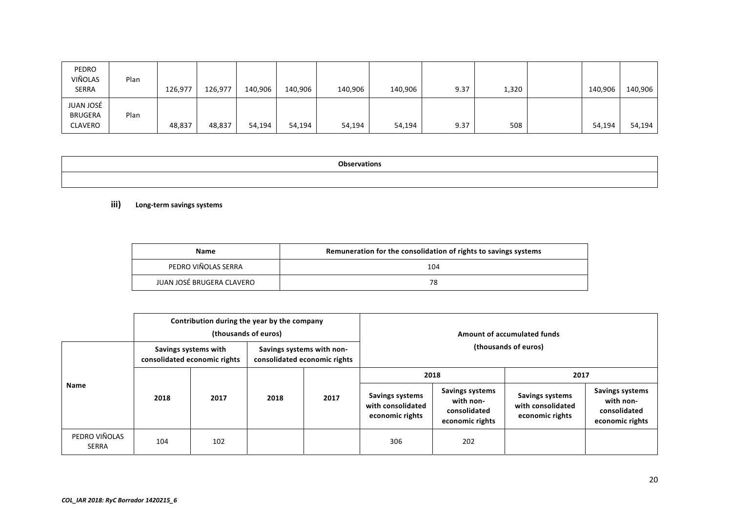| PEDRO<br>VIÑOLAS<br><b>SERRA</b>              | Plan | 126,977 | 126,977 | 140,906 | 140,906 | 140,906 | 140,906 | 9.37 | 1,320 | 140,906 | 140,906 |
|-----------------------------------------------|------|---------|---------|---------|---------|---------|---------|------|-------|---------|---------|
| JUAN JOSÉ<br><b>BRUGERA</b><br><b>CLAVERO</b> | Plan | 48,837  | 48,837  | 54,194  | 54,194  | 54,194  | 54,194  | 9.37 | 508   | 54,194  | 54,194  |

| <b>Ohserva</b><br>יוש |
|-----------------------|
|                       |

**iii) Long‐term savings systems**

| <b>Name</b>               | Remuneration for the consolidation of rights to savings systems |
|---------------------------|-----------------------------------------------------------------|
| PEDRO VIÑOLAS SERRA       | 104                                                             |
| JUAN JOSÉ BRUGERA CLAVERO | 78                                                              |

|                               |                                                                                                                                           | Contribution during the year by the company<br>(thousands of euros) |      |      | Amount of accumulated funds                                    |                                                                 |                                                                |                                                                        |
|-------------------------------|-------------------------------------------------------------------------------------------------------------------------------------------|---------------------------------------------------------------------|------|------|----------------------------------------------------------------|-----------------------------------------------------------------|----------------------------------------------------------------|------------------------------------------------------------------------|
|                               | (thousands of euros)<br>Savings systems with non-<br>Savings systems with<br>consolidated economic rights<br>consolidated economic rights |                                                                     |      |      |                                                                |                                                                 |                                                                |                                                                        |
| <b>Name</b>                   |                                                                                                                                           | 2017                                                                |      | 2017 | 2018                                                           |                                                                 | 2017                                                           |                                                                        |
|                               | 2018                                                                                                                                      |                                                                     | 2018 |      | <b>Savings systems</b><br>with consolidated<br>economic rights | Savings systems<br>with non-<br>consolidated<br>economic rights | <b>Savings systems</b><br>with consolidated<br>economic rights | <b>Savings systems</b><br>with non-<br>consolidated<br>economic rights |
| PEDRO VIÑOLAS<br><b>SERRA</b> | 104                                                                                                                                       | 102                                                                 |      |      | 306                                                            | 202                                                             |                                                                |                                                                        |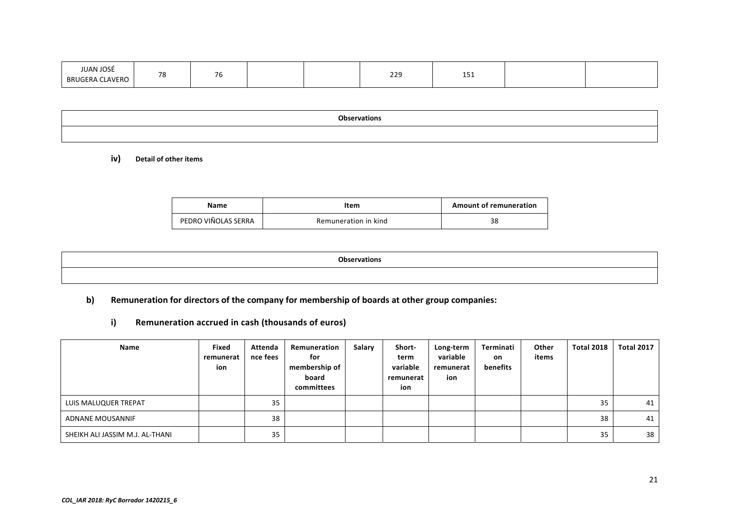| <b>IUAN JOSE</b><br><b>CLAVERO</b><br><b>BRUGERA</b> | $\overline{\phantom{a}}$<br>ں ، | 76 |  |  | າາຊ<br>443 | $\sim$<br>ᆠᆚ<br>$\sim$ $\sim$ $\sim$ $\sim$ |  |  |
|------------------------------------------------------|---------------------------------|----|--|--|------------|---------------------------------------------|--|--|
|------------------------------------------------------|---------------------------------|----|--|--|------------|---------------------------------------------|--|--|

| <b>Observations</b> |  |
|---------------------|--|
|                     |  |

## **iv) Detail of other items**

| Name                | Item                 | <b>Amount of remuneration</b> |
|---------------------|----------------------|-------------------------------|
| PEDRO VIÑOLAS SERRA | Remuneration in kind | 38                            |

| <b>Observations</b> |  |
|---------------------|--|
|                     |  |

# **b) Remuneration for directors of the company for membership of boards at other group companies:**

**i) Remuneration accrued in cash (thousands of euros)** 

| <b>Name</b>                     | Fixed<br>remunerat<br>ion | Attenda<br>nce fees | Remuneration<br>for<br>membership of<br>board<br>committees | Salary | Short-<br>term<br>variable<br>remunerat<br>ion | Long-term<br>variable<br>remunerat<br>ion | Terminati<br>on.<br>benefits | Other<br>items | <b>Total 2018</b> | <b>Total 2017</b> |
|---------------------------------|---------------------------|---------------------|-------------------------------------------------------------|--------|------------------------------------------------|-------------------------------------------|------------------------------|----------------|-------------------|-------------------|
| LUIS MALUQUER TREPAT            |                           | 35                  |                                                             |        |                                                |                                           |                              |                | 35                | 41                |
| ADNANE MOUSANNIF                |                           | 38                  |                                                             |        |                                                |                                           |                              |                | 38                | 41                |
| SHEIKH ALI JASSIM M.J. AL-THANI |                           | 35                  |                                                             |        |                                                |                                           |                              |                | 35                | 38                |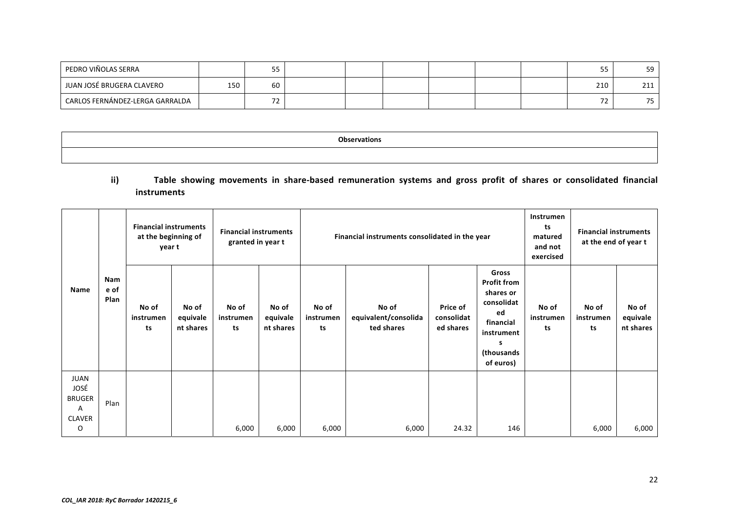| PEDRO VIÑOLAS SERRA             |     | --<br>ر ر |  |  |  | --<br>-- | 59           |
|---------------------------------|-----|-----------|--|--|--|----------|--------------|
| JUAN JOSÉ BRUGERA CLAVERO       | 150 | 60        |  |  |  | 210      | ີ 4.4<br>444 |
| CARLOS FERNÁNDEZ-LERGA GARRALDA |     |           |  |  |  | - -      | --<br>-      |

| <b>Ohcarus</b> |  |
|----------------|--|
|                |  |

# ii) Table showing movements in share-based remuneration systems and gross profit of shares or consolidated financial **instruments**

|                                                            |                                             |                                     | Instrumen<br>Financial instruments consolidated in the year                                                             |                          |                          |                                |  |
|------------------------------------------------------------|---------------------------------------------|-------------------------------------|-------------------------------------------------------------------------------------------------------------------------|--------------------------|--------------------------|--------------------------------|--|
| No of<br>No of<br>equivale<br>instrumen<br>nt shares<br>ts | No of<br>equivalent/consolida<br>ted shares | Price of<br>consolidat<br>ed shares | Gross<br><b>Profit from</b><br>shares or<br>consolidat<br>ed<br>financial<br>instrument<br>s<br>(thousands<br>of euros) | No of<br>instrumen<br>ts | No of<br>instrumen<br>ts | No of<br>equivale<br>nt shares |  |
|                                                            |                                             |                                     |                                                                                                                         |                          |                          | 6,000                          |  |
|                                                            | 6,000                                       | 6,000<br>6,000                      | 24.32                                                                                                                   | 146                      |                          | 6,000                          |  |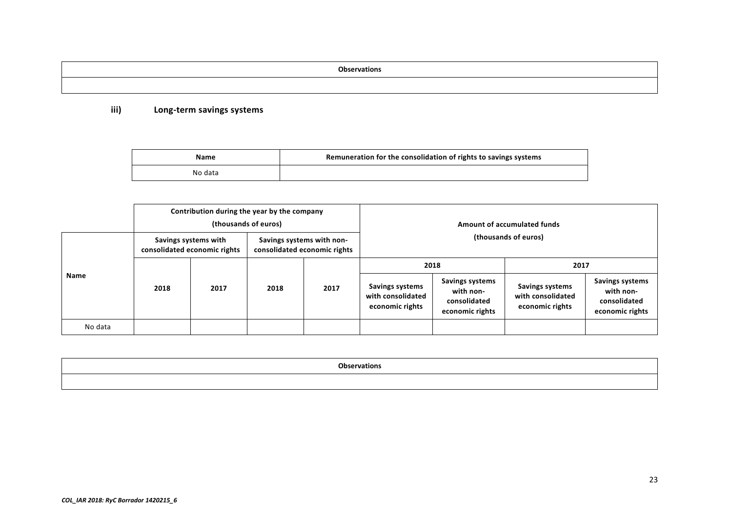**Observations** 

# **iii) Long‐term savings systems**

| Name    | Remuneration for the consolidation of rights to savings systems |
|---------|-----------------------------------------------------------------|
| No data |                                                                 |

|             |      | Contribution during the year by the company          | (thousands of euros) |                                                           |                                                         |                                                                 | Amount of accumulated funds                             |                                                                        |  |
|-------------|------|------------------------------------------------------|----------------------|-----------------------------------------------------------|---------------------------------------------------------|-----------------------------------------------------------------|---------------------------------------------------------|------------------------------------------------------------------------|--|
|             |      | Savings systems with<br>consolidated economic rights |                      | Savings systems with non-<br>consolidated economic rights | (thousands of euros)                                    |                                                                 |                                                         |                                                                        |  |
| <b>Name</b> |      |                                                      |                      |                                                           | 2018                                                    |                                                                 | 2017                                                    |                                                                        |  |
|             | 2018 | 2017                                                 | 2018                 | 2017                                                      | Savings systems<br>with consolidated<br>economic rights | Savings systems<br>with non-<br>consolidated<br>economic rights | Savings systems<br>with consolidated<br>economic rights | <b>Savings systems</b><br>with non-<br>consolidated<br>economic rights |  |
| No data     |      |                                                      |                      |                                                           |                                                         |                                                                 |                                                         |                                                                        |  |

| <b>Observations</b> |
|---------------------|
|                     |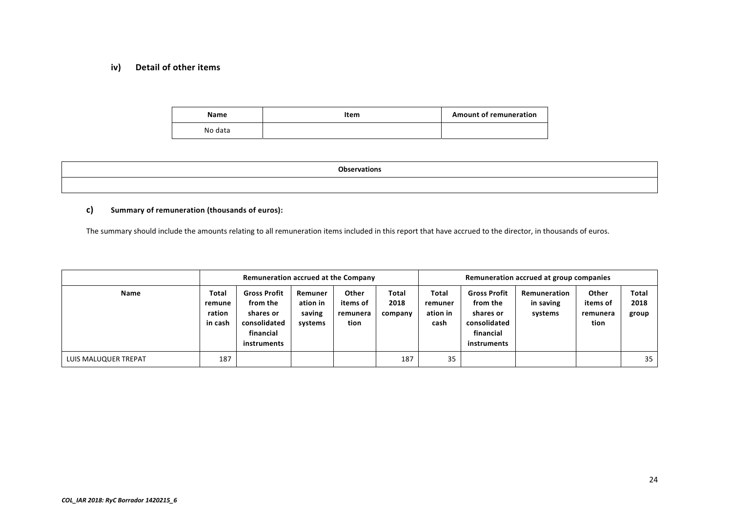# **iv) Detail of other items**

| Name    | Item | <b>Amount of remuneration</b> |
|---------|------|-------------------------------|
| No data |      |                               |

| <b>Observations</b> |  |
|---------------------|--|
|                     |  |

## **c) Summary of remuneration (thousands of euros):**

The summary should include the amounts relating to all remuneration items included in this report that have accrued to the director, in thousands of euros.

|                      | Remuneration accrued at the Company  |                                                                                          |                                          |                                       |                          | Remuneration accrued at group companies |                                                                                          |                                      |                                       |                        |
|----------------------|--------------------------------------|------------------------------------------------------------------------------------------|------------------------------------------|---------------------------------------|--------------------------|-----------------------------------------|------------------------------------------------------------------------------------------|--------------------------------------|---------------------------------------|------------------------|
| Name                 | Total<br>remune<br>ration<br>in cash | <b>Gross Profit</b><br>from the<br>shares or<br>consolidated<br>financial<br>instruments | Remuner<br>ation in<br>saving<br>systems | Other<br>items of<br>remunera<br>tion | Total<br>2018<br>company | Total<br>remuner<br>ation in<br>cash    | <b>Gross Profit</b><br>from the<br>shares or<br>consolidated<br>financial<br>instruments | Remuneration<br>in saving<br>systems | Other<br>items of<br>remunera<br>tion | Total<br>2018<br>group |
| LUIS MALUQUER TREPAT | 187                                  |                                                                                          |                                          |                                       | 187                      | 35                                      |                                                                                          |                                      |                                       | 35                     |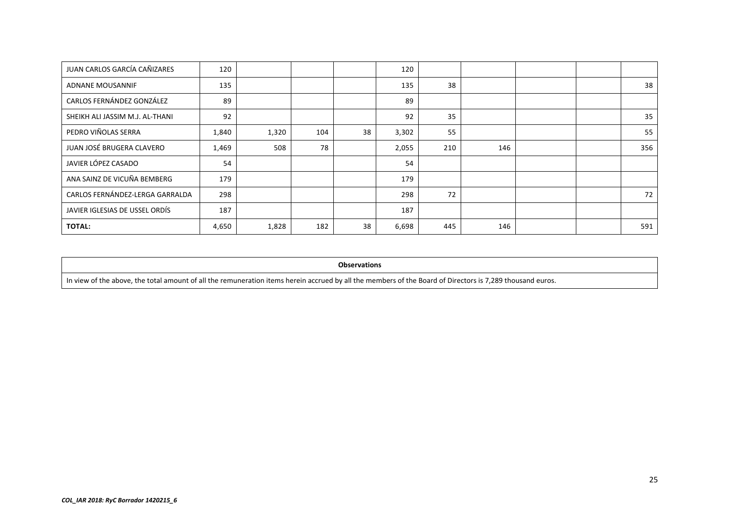| JUAN CARLOS GARCÍA CAÑIZARES    | 120   |       |     |    | 120   |     |     |  |     |
|---------------------------------|-------|-------|-----|----|-------|-----|-----|--|-----|
| <b>ADNANE MOUSANNIF</b>         | 135   |       |     |    | 135   | 38  |     |  | 38  |
| CARLOS FERNÁNDEZ GONZÁLEZ       | 89    |       |     |    | 89    |     |     |  |     |
| SHEIKH ALI JASSIM M.J. AL-THANI | 92    |       |     |    | 92    | 35  |     |  | 35  |
| PEDRO VIÑOLAS SERRA             | 1,840 | 1,320 | 104 | 38 | 3,302 | 55  |     |  | 55  |
| JUAN JOSÉ BRUGERA CLAVERO       | 1,469 | 508   | 78  |    | 2,055 | 210 | 146 |  | 356 |
| JAVIER LÓPEZ CASADO             | 54    |       |     |    | 54    |     |     |  |     |
| ANA SAINZ DE VICUÑA BEMBERG     | 179   |       |     |    | 179   |     |     |  |     |
| CARLOS FERNÁNDEZ-LERGA GARRALDA | 298   |       |     |    | 298   | 72  |     |  | 72  |
| JAVIER IGLESIAS DE USSEL ORDÍS  | 187   |       |     |    | 187   |     |     |  |     |
| <b>TOTAL:</b>                   | 4,650 | 1,828 | 182 | 38 | 6,698 | 445 | 146 |  | 591 |

#### **Observations**

In view of the above, the total amount of all the remuneration items herein accrued by all the members of the Board of Directors is 7,289 thousand euros.